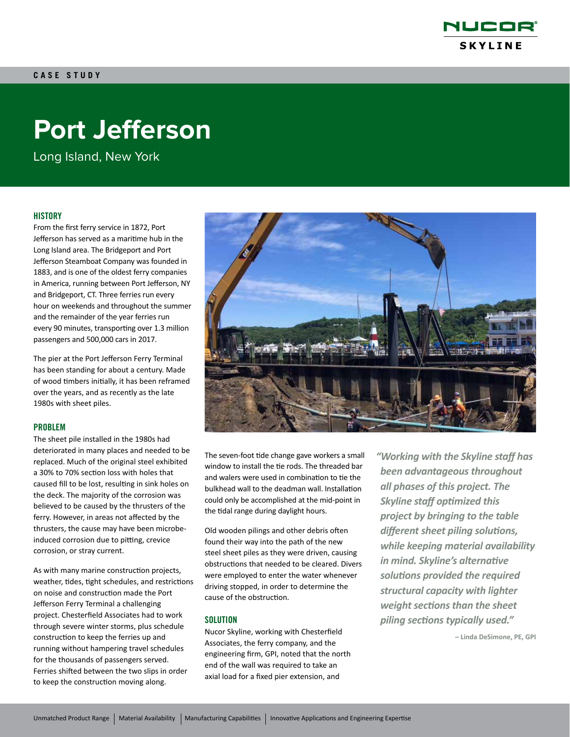

# **Port Jefferson**

Long Island, New York

# **HISTORY**

From the first ferry service in 1872, Port Jefferson has served as a maritime hub in the Long Island area. The Bridgeport and Port Jefferson Steamboat Company was founded in 1883, and is one of the oldest ferry companies in America, running between Port Jefferson, NY and Bridgeport, CT. Three ferries run every hour on weekends and throughout the summer and the remainder of the year ferries run every 90 minutes, transporting over 1.3 million passengers and 500,000 cars in 2017.

The pier at the Port Jefferson Ferry Terminal has been standing for about a century. Made of wood timbers initially, it has been reframed over the years, and as recently as the late 1980s with sheet piles.

#### PROBLEM

The sheet pile installed in the 1980s had deteriorated in many places and needed to be replaced. Much of the original steel exhibited a 30% to 70% section loss with holes that caused fill to be lost, resulting in sink holes on the deck. The majority of the corrosion was believed to be caused by the thrusters of the ferry. However, in areas not affected by the thrusters, the cause may have been microbeinduced corrosion due to pitting, crevice corrosion, or stray current.

As with many marine construction projects, weather, tides, tight schedules, and restrictions on noise and construction made the Port Jefferson Ferry Terminal a challenging project. Chesterfield Associates had to work through severe winter storms, plus schedule construction to keep the ferries up and running without hampering travel schedules for the thousands of passengers served. Ferries shifted between the two slips in order to keep the construction moving along.



The seven-foot tide change gave workers a small window to install the tie rods. The threaded bar and walers were used in combination to tie the bulkhead wall to the deadman wall. Installation could only be accomplished at the mid-point in the tidal range during daylight hours.

Old wooden pilings and other debris often found their way into the path of the new steel sheet piles as they were driven, causing obstructions that needed to be cleared. Divers were employed to enter the water whenever driving stopped, in order to determine the cause of the obstruction.

#### **SOLUTION**

Nucor Skyline, working with Chesterfield Associates, the ferry company, and the engineering firm, GPI, noted that the north end of the wall was required to take an axial load for a fixed pier extension, and

*"Working with the Skyline staff has been advantageous throughout all phases of this project. The Skyline staff optimized this project by bringing to the table different sheet piling solutions, while keeping material availability in mind. Skyline's alternative solutions provided the required structural capacity with lighter weight sections than the sheet piling sections typically used."*

**– Linda DeSimone, PE, GPI**